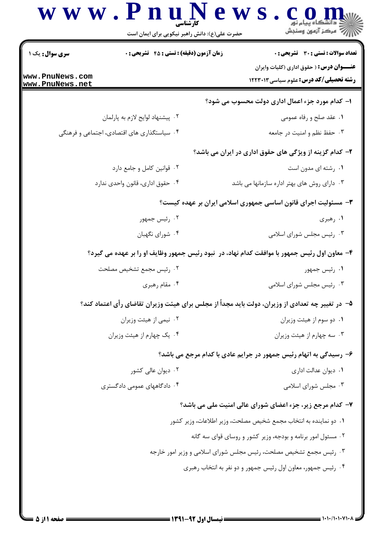|                                    | حضرت علی(ع): دانش راهبر نیکویی برای ایمان است                                                    | رآب آمرڪز آزمون وسنڊش                                                                              |
|------------------------------------|--------------------------------------------------------------------------------------------------|----------------------------------------------------------------------------------------------------|
| سری سوال : یک ۱                    | <b>زمان آزمون (دقیقه) : تستی : 45 تشریحی : 0</b>                                                 | تعداد سوالات : تستى : 30 - تشريحي : 0                                                              |
| www.PnuNews.com<br>www.PnuNews.net |                                                                                                  | <b>عنــــوان درس :</b> ( حقوق اداری (کلیات وایران<br><b>رشته تحصیلی/کد درس:</b> علوم سیاسی ۱۲۲۳۰۱۳ |
|                                    |                                                                                                  | ۱– کدام مورد جزء اعمال اداری دولت محسوب می شود؟                                                    |
| ۰۲ پیشنهاد لوایح لازم به پارلمان   |                                                                                                  | ۰۱ عقد صلح و رفاه عمومی                                                                            |
|                                    | ۰۴ سیاستگذاری های اقتصادی، اجتماعی و فرهنگی                                                      | ۰۳ حفظ نظم و امنیت در جامعه                                                                        |
|                                    |                                                                                                  | ۲– کدام گزینه از ویژگی های حقوق اداری در ایران می باشد؟                                            |
| ۰۲ قوانین کامل و جامع دارد         |                                                                                                  | ٠١. رشته اي مدون است                                                                               |
| ۰۴ حقوق ادارى، قانون واحدى ندارد   |                                                                                                  | ۰۳ دارای روش های بهتر اداره سازمانها می باشد                                                       |
|                                    |                                                                                                  | ۳- مسئولیت اجرای قانون اساسی جمهوری اسلامی ایران بر عهده کیست؟                                     |
| ۰۲ رئیس جمهور                      |                                                                                                  | ۰۱ رهبری                                                                                           |
|                                    | ۰۴ شورای نگهبان                                                                                  | ۰۳ رئیس مجلس شورای اسلامی                                                                          |
|                                    | ۴- معاون اول رئیس جمهور با موافقت کدام نهاد، در  نبود رئیس جمهور وظایف او را بر عهده می گیرد؟    |                                                                                                    |
|                                    | ۰۲ رئیس مجمع تشخیص مصلحت                                                                         | ۰۱ رئیس جمهور                                                                                      |
| ۰۴ مقام رهبری                      |                                                                                                  | ۰۳ رئیس مجلس شورای اسلامی                                                                          |
|                                    | ۵– در تغییر چه تعدادی از وزیران، دولت باید مجداً از مجلس برای هیئت وزیران تقاضای رأی اعتماد کند؟ |                                                                                                    |
| ۰۲ نیمی از هیئت وزیران             |                                                                                                  | ٠١ دو سوم از هيئت وزيران                                                                           |
|                                    | ۰۴ یک چهارم از هیئت وزیران                                                                       | ۰۳ سه چهارم از هیئت وزیران                                                                         |
|                                    |                                                                                                  | ۶- رسیدگی به اتهام رئیس جمهور در جرایم عادی با کدام مرجع می باشد؟                                  |
|                                    | ۰۲ دیوان عالی کشور                                                                               | ۰۱ دیوان عدالت اداری                                                                               |
|                                    | ۰۴ دادگاههای عمومی دادگستری                                                                      | ۰۳ مجلس شورای اسلامی                                                                               |
|                                    |                                                                                                  | ۷- کدام مرجع زیر، جزء اعضای شورای عالی امنیت ملی می باشد؟                                          |
|                                    |                                                                                                  | ۰۱ دو نماینده به انتخاب مجمع شخیص مصلحت، وزیر اطلاعات، وزیر کشور                                   |
|                                    |                                                                                                  | ۰۲ مسئول امور برنامه و بودجه، وزیر کشور و روسای قوای سه گانه                                       |
|                                    |                                                                                                  | ۰۳ رئیس مجمع تشخیص مصلحت، رئیس مجلس شورای اسلامی و وزیر امور خارجه                                 |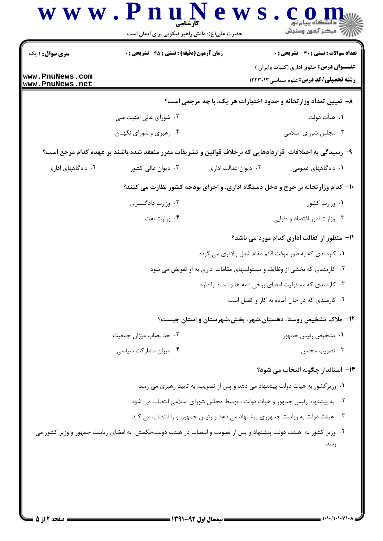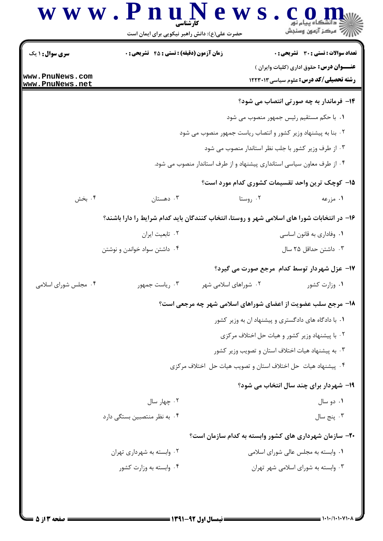## www.PnuN ews.com است.<br>استان مرکز آزمون وسنڊش حضرت علی(ع): دانش راهبر نیکویی برای ایمان است

**سری سوال :** ۱ یک **تعداد سوالات : تستي : 30 ٪ تشريحي : 0 زمان آزمون (دقیقه) : تستی : 45 ٪ تشریحی : 0 عنـــوان درس:** حقوق اداري (كليات وايران ) www.PnuNews.com **رشته تحصیلی/کد درس:** علوم سیاسی ۱۲۲۳۰۱۳ www.PnuNews.net ۱۴- فرماندار به چه صورتی انتصاب می شود؟ ٠١. با حكم مستقيم رئيس جمهور منصوب مي شود ۰۲ بنا به پیشنهاد وزیر کشور و انتصاب ریاست جمهور منصوب می شود ۰۳ از طرف وزیر کشور با جلب نظر استاندار منصوب می شود ۰۴ از طرف معاون سیاسی استانداری پیشنهاد و از طرف استاندار منصوب می شود. ۱۵– کوچک ترین واحد تقسیمات کشوری کدام مورد است؟ دهستان  $\cdot$ ۰۲ روستا ۱. مزرعه ۰۴ بخش ۱۶– در انتخابات شورا های اسلامی شهر و روستا، انتخاب کنندگان باید کدام شرایط را دارا باشند؟ ۰۲ تابعیت ایران ۰۱ وفاداری به قانون اساسی ۰۳ داشتن حداقل ۲۵ سال ۰۴ داشتن سواد خواندن و نوشتن ۱۷- عزل شهردار توسط کدام مرجع صورت می گیرد؟ ۰۴ مجلس شورای اسلامی ۰۳ رياست جمهور ۰۲ شوراهای اسلامی شهر ۰۱ وزارت کشور 18- مرجع سلب عضویت از اعضای شوراهای اسلامی شهر چه مرجعی است؟ ۰۱ با دادگاه های دادگستری و پیشنهاد ان به وزیر کشور ۰۲ با پیشنهاد وزیر کشور و هیات حل اختلاف مرکزی ۰۳ به پیشنهاد هیات اختلاف استان و تصویب وزیر کشور ۰۴ پیشنهاد هیات حل اختلاف استان و تصویب هیات حل اختلاف مرکزی **۱۹- شهردار برای چند سال انتخاب می شود؟** ۰۲ چهار سال ۰۱ دو سال ۰۴ به نظر منتصبین بستگی دارد ۰۳ پنج سال ۲۰- سازمان شهرداری های کشور وابسته به کدام سازمان است؟ ۰۲ وابسته به شهرداری تهران ۰۱ وابسته به مجلس عالی شورای اسلامی ۰۳ وابسته به شورای اسلامی شهر تهران ۰۴ وابسته به وزارت کشور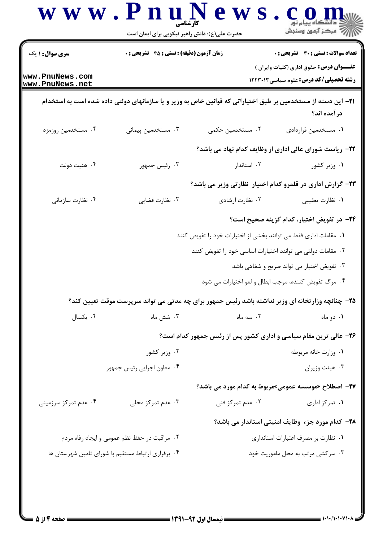|                                                    | حضرت علی(ع): دانش راهبر نیکویی برای ایمان است                                                                        |                                                                  | ≤ دانشڪاه پيام نو <b>ر</b><br>∥7 مرکز آزمون وسنڊش                                                 |
|----------------------------------------------------|----------------------------------------------------------------------------------------------------------------------|------------------------------------------------------------------|---------------------------------------------------------------------------------------------------|
| <b>سری سوال :</b> ۱ یک                             | <b>زمان آزمون (دقیقه) : تستی : 45 تشریحی : 0</b>                                                                     |                                                                  | <b>تعداد سوالات : تستی : 30 ٪ تشریحی : 0</b>                                                      |
| www.PnuNews.com<br>www.PnuNews.net                 |                                                                                                                      |                                                                  | عنـــوان درس: حقوق اداری (کلیات وایران )<br>رشته تحصیلی/کد درس: علوم سیاسی ۱۲۲۳۰۱۳                |
|                                                    | <b>۳۱</b> – این دسته از مستخدمین بر طبق اختیاراتی که قوانین خاص به وزیر و یا سازمانهای دولتی داده شده است به استخدام |                                                                  | در آمده اند؟                                                                                      |
| ۰۴ مستخدمین روزمزد                                 | ۰۳ مستخدمین پیمانی                                                                                                   | ۲. مستخدمین حکمی                                                 | ٠١ مستخدمين قراردادي                                                                              |
|                                                    |                                                                                                                      |                                                                  | ۲۲- ریاست شورای عالی اداری از وظایف کدام نهاد می باشد؟                                            |
| ۰۴ هئيت دولت                                       | ۰۳ رئیس جمهور                                                                                                        | ۰۲ استاندار                                                      | ۰۱ وزیر کشور                                                                                      |
|                                                    |                                                                                                                      |                                                                  | ۲۳- گزارش اداری در قلمرو کدام اختیار ِ نظارتی وزیر می باشد؟                                       |
| ۰۴ نظارت سازمانی                                   | ۰۳ نظارت قضایی                                                                                                       | ۰۲ نظارت ارشادي                                                  | ٠١ نظارت تعقيبي                                                                                   |
|                                                    |                                                                                                                      |                                                                  | <b>۲۴</b> - در تفویض اختیار، کدام گزینه صحیح است؟                                                 |
|                                                    |                                                                                                                      | ۰۱ مقامات اداری فقط می توانند بخشی از اختیارات خود را تفویض کنند |                                                                                                   |
|                                                    |                                                                                                                      | ۰۲ مقامات دولتی می توانند اختیارات اساسی خود را تفویض کنند       |                                                                                                   |
|                                                    |                                                                                                                      |                                                                  | ۰۳ تفویض اختیار می تواند صریح و شفاهی باشد                                                        |
|                                                    |                                                                                                                      | ۰۴ مرگ تفویض کننده، موجب ابطال و لغو اختیارات می شود             |                                                                                                   |
|                                                    |                                                                                                                      |                                                                  | ۲۵- چنانچه وزار تخانه ای وزیر نداشته باشد رئیس جمهور برای چه مدتی می تواند سرپرست موقت تعیین کند؟ |
| ۰۴ يکسال                                           | ۰۳ شش ماه                                                                                                            | ۰۲ سه ماه                                                        | ۰۱ دو ماه                                                                                         |
|                                                    |                                                                                                                      |                                                                  | ۲۶- عالی ترین مقام سیاسی و اداری کشور پس از رئیس جمهور کدام است؟                                  |
|                                                    | ۰۲ وزیر کشور                                                                                                         |                                                                  | ٠١ وزارت خانه مربوطه                                                                              |
|                                                    | ۰۴ معاون اجرایی رئیس جمهور                                                                                           |                                                                  | ۰۳ هيئت وزيران                                                                                    |
|                                                    |                                                                                                                      |                                                                  | <b>۲۷</b> – اصطلاح «موسسه عمومی»مربوط به کدام مورد می باشد؟                                       |
| ۰۴ عدم تمرکز سرزمینی                               | ۰۳ عدم تمرکز محلی                                                                                                    | ۰۲ عدم تمرکز فنی                                                 | ۰۱ تمرکز اداری                                                                                    |
|                                                    |                                                                                                                      |                                                                  | ۲۸- کدام مورد جزء وظایف امنیتی استاندار می باشد؟                                                  |
|                                                    | ۰۲ مراقبت در حفظ نظم عمومی و ایجاد رفاه مردم                                                                         |                                                                  | ٠١ نظارت بر مصرف اعتبارات استاندارى                                                               |
| ۰۴ برقراری ارتباط مستقیم با شورای تامین شهرستان ها |                                                                                                                      |                                                                  | ۰۳ سرکشی مرتب به محل ماموریت خود                                                                  |